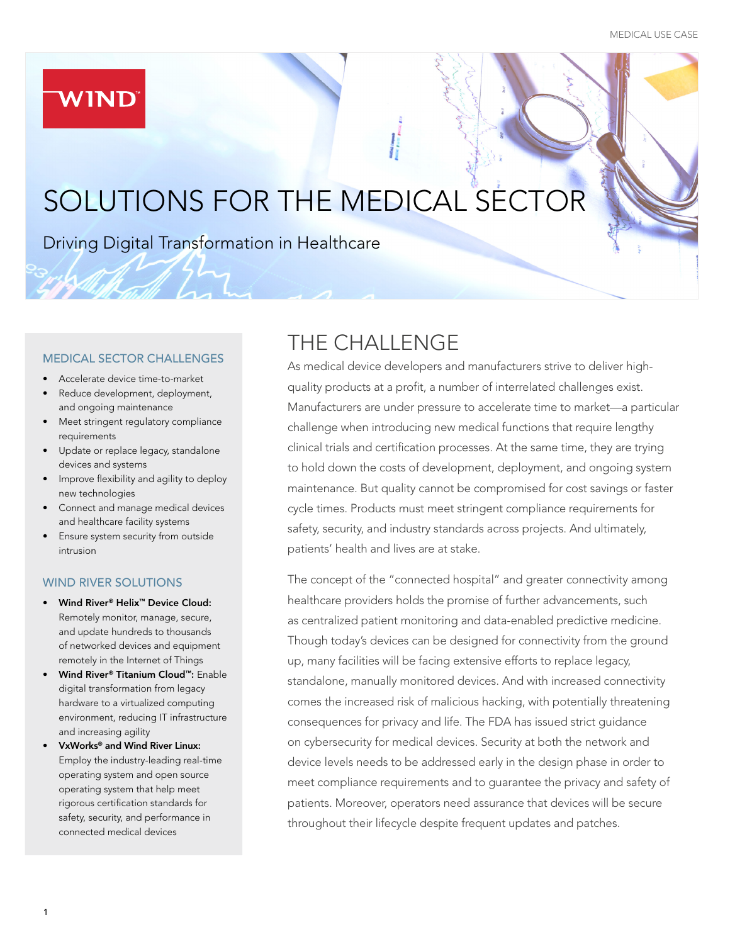## **WIND**

# SOLUTIONS FOR THE MEDICAL SECT

Driving Digital Transformation in Healthcare

#### MEDICAL SECTOR CHALLENGES

- Accelerate device time-to-market
- Reduce development, deployment, and ongoing maintenance
- Meet stringent regulatory compliance requirements
- Update or replace legacy, standalone devices and systems
- Improve flexibility and agility to deploy new technologies
- Connect and manage medical devices and healthcare facility systems
- Ensure system security from outside intrusion

#### WIND RIVER SOLUTIONS

- Wind River® Helix™ Device Cloud: Remotely monitor, manage, secure, and update hundreds to thousands of networked devices and equipment remotely in the Internet of Things
- Wind River® Titanium Cloud™: Enable digital transformation from legacy hardware to a virtualized computing environment, reducing IT infrastructure and increasing agility
- VxWorks® and Wind River Linux: Employ the industry-leading real-time operating system and open source operating system that help meet rigorous certification standards for safety, security, and performance in connected medical devices

# THE CHALLENGE

As medical device developers and manufacturers strive to deliver highquality products at a profit, a number of interrelated challenges exist. Manufacturers are under pressure to accelerate time to market—a particular challenge when introducing new medical functions that require lengthy clinical trials and certification processes. At the same time, they are trying to hold down the costs of development, deployment, and ongoing system maintenance. But quality cannot be compromised for cost savings or faster cycle times. Products must meet stringent compliance requirements for safety, security, and industry standards across projects. And ultimately, patients' health and lives are at stake.

The concept of the "connected hospital" and greater connectivity among healthcare providers holds the promise of further advancements, such as centralized patient monitoring and data-enabled predictive medicine. Though today's devices can be designed for connectivity from the ground up, many facilities will be facing extensive efforts to replace legacy, standalone, manually monitored devices. And with increased connectivity comes the increased risk of malicious hacking, with potentially threatening consequences for privacy and life. The FDA has issued strict guidance on cybersecurity for medical devices. Security at both the network and device levels needs to be addressed early in the design phase in order to meet compliance requirements and to guarantee the privacy and safety of patients. Moreover, operators need assurance that devices will be secure throughout their lifecycle despite frequent updates and patches.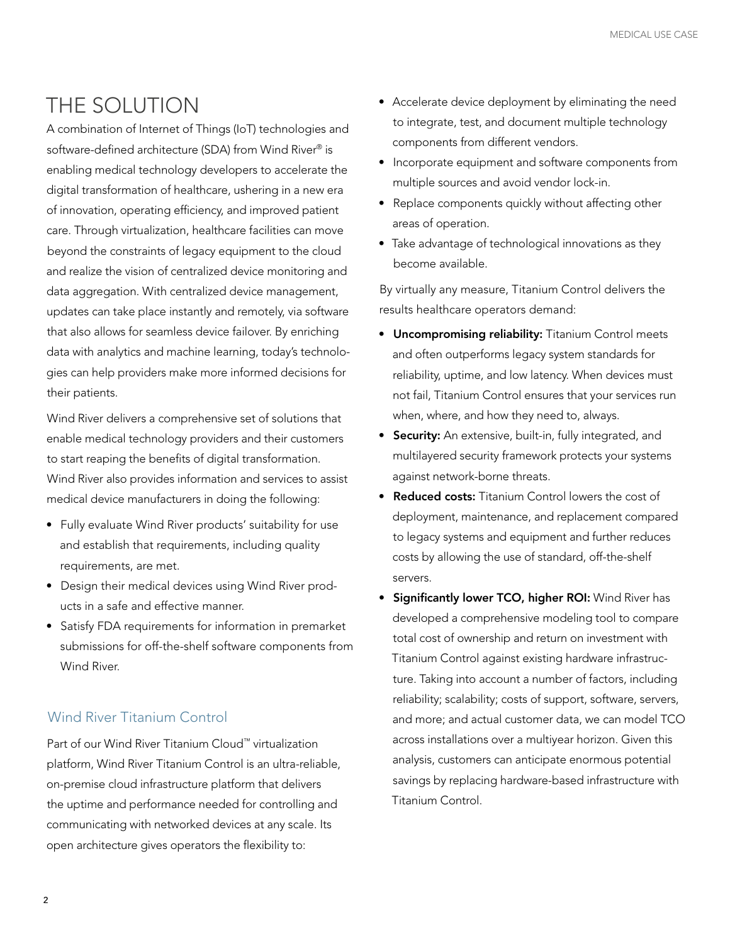# THE SOLUTION

A combination of Internet of Things (IoT) technologies and software-defined architecture (SDA) from Wind River® is enabling medical technology developers to accelerate the digital transformation of healthcare, ushering in a new era of innovation, operating efficiency, and improved patient care. Through virtualization, healthcare facilities can move beyond the constraints of legacy equipment to the cloud and realize the vision of centralized device monitoring and data aggregation. With centralized device management, updates can take place instantly and remotely, via software that also allows for seamless device failover. By enriching data with analytics and machine learning, today's technologies can help providers make more informed decisions for their patients.

Wind River delivers a comprehensive set of solutions that enable medical technology providers and their customers to start reaping the benefits of digital transformation. Wind River also provides information and services to assist medical device manufacturers in doing the following:

- Fully evaluate Wind River products' suitability for use and establish that requirements, including quality requirements, are met.
- Design their medical devices using Wind River products in a safe and effective manner.
- Satisfy FDA requirements for information in premarket submissions for off-the-shelf software components from Wind River.

### Wind River Titanium Control

Part of our Wind River Titanium Cloud™ virtualization platform, Wind River Titanium Control is an ultra-reliable, on-premise cloud infrastructure platform that delivers the uptime and performance needed for controlling and communicating with networked devices at any scale. Its open architecture gives operators the flexibility to:

- Accelerate device deployment by eliminating the need to integrate, test, and document multiple technology components from different vendors.
- Incorporate equipment and software components from multiple sources and avoid vendor lock-in.
- Replace components quickly without affecting other areas of operation.
- Take advantage of technological innovations as they become available.

By virtually any measure, Titanium Control delivers the results healthcare operators demand:

- Uncompromising reliability: Titanium Control meets and often outperforms legacy system standards for reliability, uptime, and low latency. When devices must not fail, Titanium Control ensures that your services run when, where, and how they need to, always.
- Security: An extensive, built-in, fully integrated, and multilayered security framework protects your systems against network-borne threats.
- Reduced costs: Titanium Control lowers the cost of deployment, maintenance, and replacement compared to legacy systems and equipment and further reduces costs by allowing the use of standard, off-the-shelf servers.
- Significantly lower TCO, higher ROI: Wind River has developed a comprehensive modeling tool to compare total cost of ownership and return on investment with Titanium Control against existing hardware infrastructure. Taking into account a number of factors, including reliability; scalability; costs of support, software, servers, and more; and actual customer data, we can model TCO across installations over a multiyear horizon. Given this analysis, customers can anticipate enormous potential savings by replacing hardware-based infrastructure with Titanium Control.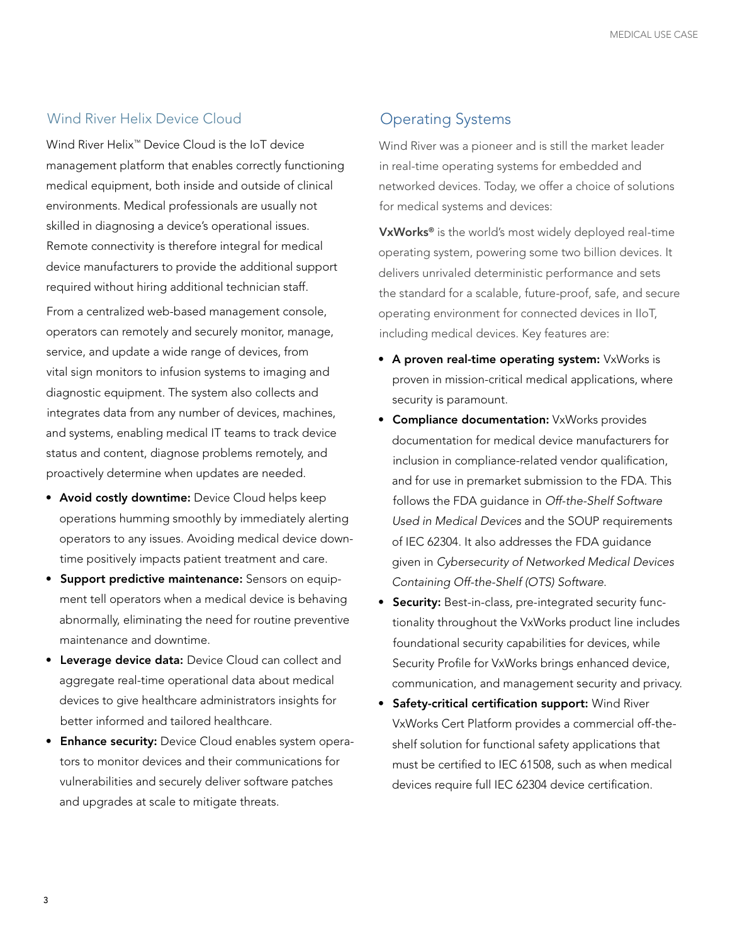#### Wind River Helix Device Cloud

Wind River Helix™ Device Cloud is the IoT device management platform that enables correctly functioning medical equipment, both inside and outside of clinical environments. Medical professionals are usually not skilled in diagnosing a device's operational issues. Remote connectivity is therefore integral for medical device manufacturers to provide the additional support required without hiring additional technician staff.

From a centralized web-based management console, operators can remotely and securely monitor, manage, service, and update a wide range of devices, from vital sign monitors to infusion systems to imaging and diagnostic equipment. The system also collects and integrates data from any number of devices, machines, and systems, enabling medical IT teams to track device status and content, diagnose problems remotely, and proactively determine when updates are needed.

- Avoid costly downtime: Device Cloud helps keep operations humming smoothly by immediately alerting operators to any issues. Avoiding medical device downtime positively impacts patient treatment and care.
- Support predictive maintenance: Sensors on equipment tell operators when a medical device is behaving abnormally, eliminating the need for routine preventive maintenance and downtime.
- **Leverage device data:** Device Cloud can collect and aggregate real-time operational data about medical devices to give healthcare administrators insights for better informed and tailored healthcare.
- **Enhance security:** Device Cloud enables system operators to monitor devices and their communications for vulnerabilities and securely deliver software patches and upgrades at scale to mitigate threats.

### Operating Systems

Wind River was a pioneer and is still the market leader in real-time operating systems for embedded and networked devices. Today, we offer a choice of solutions for medical systems and devices:

VxWorks<sup>®</sup> is the world's most widely deployed real-time operating system, powering some two billion devices. It delivers unrivaled deterministic performance and sets the standard for a scalable, future-proof, safe, and secure operating environment for connected devices in IIoT, including medical devices. Key features are:

- A proven real-time operating system: VxWorks is proven in mission-critical medical applications, where security is paramount.
- **Compliance documentation:** VxWorks provides documentation for medical device manufacturers for inclusion in compliance-related vendor qualification, and for use in premarket submission to the FDA. This follows the FDA guidance in *Off-the-Shelf Software Used in Medical Devices* and the SOUP requirements of IEC 62304. It also addresses the FDA guidance given in *Cybersecurity of Networked Medical Devices Containing Off-the-Shelf (OTS) Software*.
- Security: Best-in-class, pre-integrated security functionality throughout the VxWorks product line includes foundational security capabilities for devices, while Security Profile for VxWorks brings enhanced device, communication, and management security and privacy.
- Safety-critical certification support: Wind River VxWorks Cert Platform provides a commercial off-theshelf solution for functional safety applications that must be certified to IEC 61508, such as when medical devices require full IEC 62304 device certification.